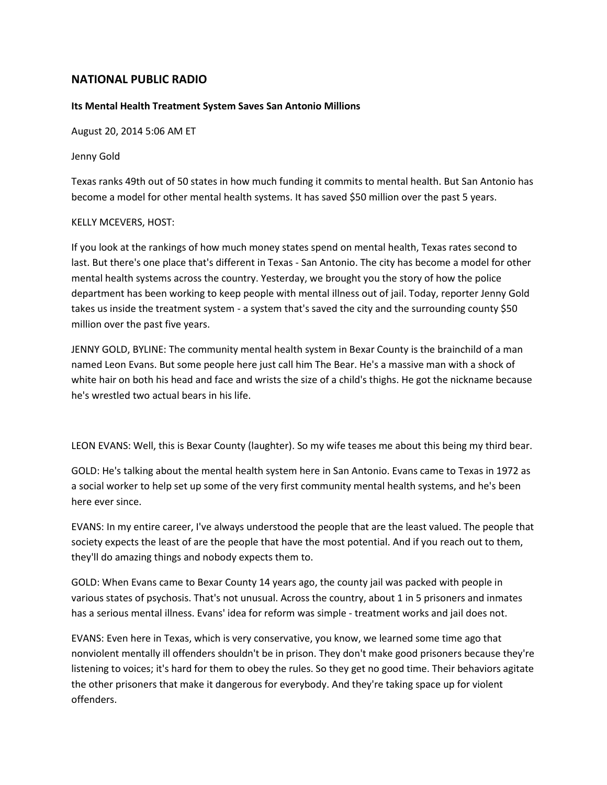## **NATIONAL PUBLIC RADIO**

## **Its Mental Health Treatment System Saves San Antonio Millions**

August 20, 2014 5:06 AM ET

Jenny Gold

Texas ranks 49th out of 50 states in how much funding it commits to mental health. But San Antonio has become a model for other mental health systems. It has saved \$50 million over the past 5 years.

## KELLY MCEVERS, HOST:

If you look at the rankings of how much money states spend on mental health, Texas rates second to last. But there's one place that's different in Texas - San Antonio. The city has become a model for other mental health systems across the country. Yesterday, we brought you the story of how the police department has been working to keep people with mental illness out of jail. Today, reporter Jenny Gold takes us inside the treatment system - a system that's saved the city and the surrounding county \$50 million over the past five years.

JENNY GOLD, BYLINE: The community mental health system in Bexar County is the brainchild of a man named Leon Evans. But some people here just call him The Bear. He's a massive man with a shock of white hair on both his head and face and wrists the size of a child's thighs. He got the nickname because he's wrestled two actual bears in his life.

LEON EVANS: Well, this is Bexar County (laughter). So my wife teases me about this being my third bear.

GOLD: He's talking about the mental health system here in San Antonio. Evans came to Texas in 1972 as a social worker to help set up some of the very first community mental health systems, and he's been here ever since.

EVANS: In my entire career, I've always understood the people that are the least valued. The people that society expects the least of are the people that have the most potential. And if you reach out to them, they'll do amazing things and nobody expects them to.

GOLD: When Evans came to Bexar County 14 years ago, the county jail was packed with people in various states of psychosis. That's not unusual. Across the country, about 1 in 5 prisoners and inmates has a serious mental illness. Evans' idea for reform was simple - treatment works and jail does not.

EVANS: Even here in Texas, which is very conservative, you know, we learned some time ago that nonviolent mentally ill offenders shouldn't be in prison. They don't make good prisoners because they're listening to voices; it's hard for them to obey the rules. So they get no good time. Their behaviors agitate the other prisoners that make it dangerous for everybody. And they're taking space up for violent offenders.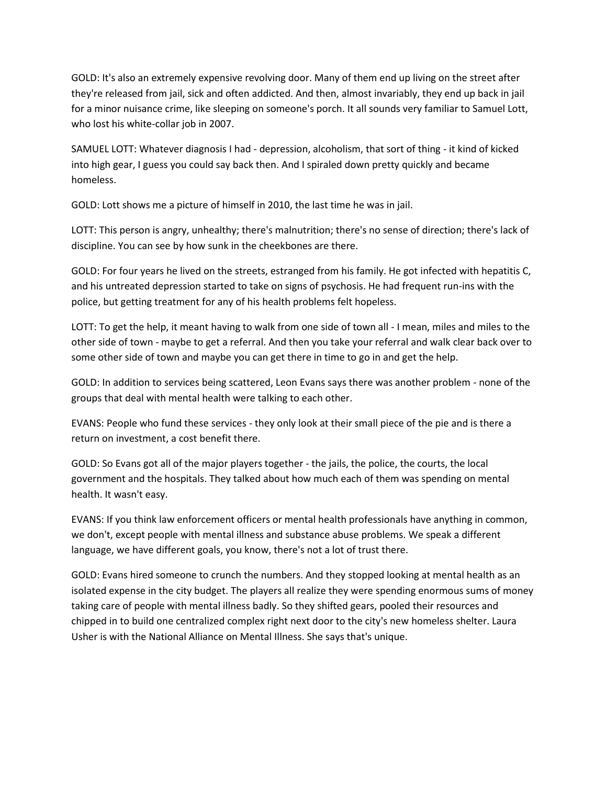GOLD: It's also an extremely expensive revolving door. Many of them end up living on the street after they're released from jail, sick and often addicted. And then, almost invariably, they end up back in jail for a minor nuisance crime, like sleeping on someone's porch. It all sounds very familiar to Samuel Lott, who lost his white-collar job in 2007.

SAMUEL LOTT: Whatever diagnosis I had - depression, alcoholism, that sort of thing - it kind of kicked into high gear, I guess you could say back then. And I spiraled down pretty quickly and became homeless.

GOLD: Lott shows me a picture of himself in 2010, the last time he was in jail.

LOTT: This person is angry, unhealthy; there's malnutrition; there's no sense of direction; there's lack of discipline. You can see by how sunk in the cheekbones are there.

GOLD: For four years he lived on the streets, estranged from his family. He got infected with hepatitis C, and his untreated depression started to take on signs of psychosis. He had frequent run-ins with the police, but getting treatment for any of his health problems felt hopeless.

LOTT: To get the help, it meant having to walk from one side of town all - I mean, miles and miles to the other side of town - maybe to get a referral. And then you take your referral and walk clear back over to some other side of town and maybe you can get there in time to go in and get the help.

GOLD: In addition to services being scattered, Leon Evans says there was another problem - none of the groups that deal with mental health were talking to each other.

EVANS: People who fund these services - they only look at their small piece of the pie and is there a return on investment, a cost benefit there.

GOLD: So Evans got all of the major players together - the jails, the police, the courts, the local government and the hospitals. They talked about how much each of them was spending on mental health. It wasn't easy.

EVANS: If you think law enforcement officers or mental health professionals have anything in common, we don't, except people with mental illness and substance abuse problems. We speak a different language, we have different goals, you know, there's not a lot of trust there.

GOLD: Evans hired someone to crunch the numbers. And they stopped looking at mental health as an isolated expense in the city budget. The players all realize they were spending enormous sums of money taking care of people with mental illness badly. So they shifted gears, pooled their resources and chipped in to build one centralized complex right next door to the city's new homeless shelter. Laura Usher is with the National Alliance on Mental Illness. She says that's unique.